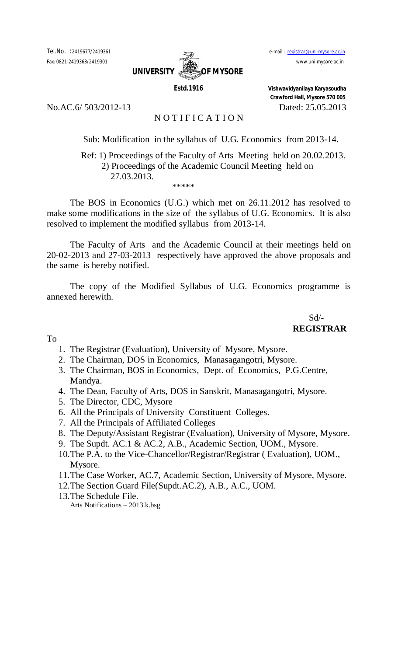

No.AC.6/ 503/2012-13 Dated: 25.05.2013

# NOTIFICATION

Sub: Modification in the syllabus of U.G. Economics from 2013-14.

# Ref: 1) Proceedings of the Faculty of Arts Meeting held on 20.02.2013. 2) Proceedings of the Academic Council Meeting held on 27.03.2013. \*\*\*\*\*

The BOS in Economics (U.G.) which met on 26.11.2012 has resolved to make some modifications in the size of the syllabus of U.G. Economics. It is also resolved to implement the modified syllabus from 2013-14.

The Faculty of Arts and the Academic Council at their meetings held on 20-02-2013 and 27-03-2013 respectively have approved the above proposals and the same is hereby notified.

The copy of the Modified Syllabus of U.G. Economics programme is annexed herewith.

> Sd/- **REGISTRAR**

To

- 1. The Registrar (Evaluation), University of Mysore, Mysore.
- 2. The Chairman, DOS in Economics, Manasagangotri, Mysore.
- 3. The Chairman, BOS in Economics, Dept. of Economics, P.G.Centre, Mandya.
- 4. The Dean, Faculty of Arts, DOS in Sanskrit, Manasagangotri, Mysore.
- 5. The Director, CDC, Mysore
- 6. All the Principals of University Constituent Colleges.
- 7. All the Principals of Affiliated Colleges
- 8. The Deputy/Assistant Registrar (Evaluation), University of Mysore, Mysore.
- 9. The Supdt. AC.1 & AC.2, A.B., Academic Section, UOM., Mysore.
- 10.The P.A. to the Vice-Chancellor/Registrar/Registrar ( Evaluation), UOM., Mysore.
- 11.The Case Worker, AC.7, Academic Section, University of Mysore, Mysore.
- 12.The Section Guard File(Supdt.AC.2), A.B., A.C., UOM.
- 13.The Schedule File.

Arts Notifications – 2013.k.bsg

 **Estd.1916 Vishwavidyanilaya Karyasoudha Crawford Hall, Mysore 570 005**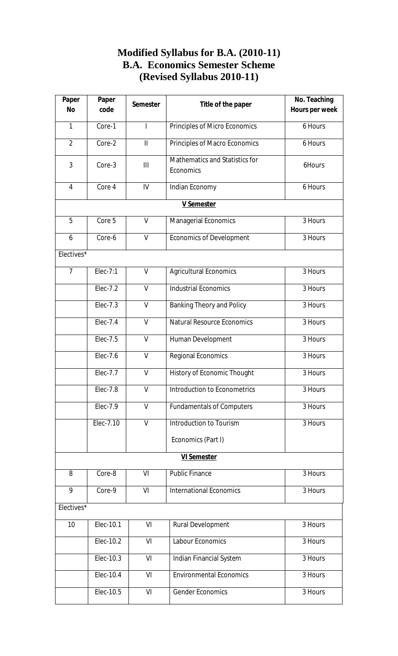# **Modified Syllabus for B.A. (2010-11) B.A. Economics Semester Scheme (Revised Syllabus 2010-11)**

| Paper<br><b>No</b> | Paper<br>code | <b>Semester</b> | Title of the paper                          | No. Teaching<br>Hours per week |
|--------------------|---------------|-----------------|---------------------------------------------|--------------------------------|
| $\mathbf{1}$       | Core-1        | I               | Principles of Micro Economics               | 6 Hours                        |
| $\overline{2}$     | Core-2        | $\mathbf{  }$   | Principles of Macro Economics               | 6 Hours                        |
| 3                  | Core-3        | III             | Mathematics and Statistics for<br>Economics | 6Hours                         |
| $\overline{4}$     | Core 4        | IV              | Indian Economy                              | 6 Hours                        |
|                    |               |                 | <b>V Semester</b>                           |                                |
| 5                  | Core 5        | $\vee$          | Managerial Economics                        | 3 Hours                        |
| 6                  | Core-6        | $\vee$          | <b>Economics of Development</b>             | 3 Hours                        |
| Electives*         |               |                 |                                             |                                |
| $\overline{7}$     | $Elec-7:1$    | V               | <b>Agricultural Economics</b>               | 3 Hours                        |
|                    | Elec-7.2      | $\vee$          | <b>Industrial Economics</b>                 | 3 Hours                        |
|                    | Elec-7.3      | $\vee$          | <b>Banking Theory and Policy</b>            | 3 Hours                        |
|                    | Elec-7.4      | $\vee$          | <b>Natural Resource Economics</b>           | 3 Hours                        |
|                    | Elec-7.5      | $\vee$          | Human Development                           | 3 Hours                        |
|                    | Elec-7.6      | $\vee$          | Regional Economics                          | 3 Hours                        |
|                    | Elec-7.7      | $\vee$          | History of Economic Thought                 | 3 Hours                        |
|                    | Elec-7.8      | V               | Introduction to Econometrics                | 3 Hours                        |
|                    | Elec-7.9      | $\mathsf{V}$    | <b>Fundamentals of Computers</b>            | 3 Hours                        |
|                    | Elec-7.10     | V               | Introduction to Tourism                     | 3 Hours                        |
|                    |               |                 | Economics (Part I)                          |                                |
|                    |               |                 | <b>VI Semester</b>                          |                                |
| 8                  | Core-8        | VI              | <b>Public Finance</b>                       | 3 Hours                        |
| 9                  | Core-9        | VI              | <b>International Economics</b>              | 3 Hours                        |
| Electives*         |               |                 |                                             |                                |
| 10                 | Elec-10.1     | VI              | <b>Rural Development</b>                    | 3 Hours                        |
|                    | Elec-10.2     | VI              | <b>Labour Economics</b>                     | 3 Hours                        |
|                    | Elec-10.3     | VI              | Indian Financial System                     | 3 Hours                        |
|                    | Elec-10.4     | VI              | <b>Environmental Economics</b>              | 3 Hours                        |
|                    | Elec-10.5     | VI              | <b>Gender Economics</b>                     | 3 Hours                        |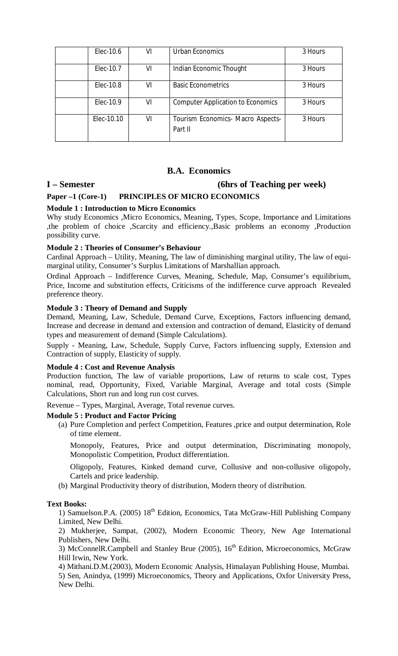| Elec-10.6  | VI | Urban Economics                              | 3 Hours |
|------------|----|----------------------------------------------|---------|
| Elec-10.7  | VI | Indian Economic Thought                      | 3 Hours |
| Elec-10.8  | VI | <b>Basic Econometrics</b>                    | 3 Hours |
| Elec-10.9  | VI | <b>Computer Application to Economics</b>     | 3 Hours |
| Elec-10.10 | VI | Tourism Economics- Macro Aspects-<br>Part II | 3 Hours |

# **I – Semester (6hrs of Teaching per week)**

### **Paper –1 (Core-1) PRINCIPLES OF MICRO ECONOMICS**

### **Module 1 : Introduction to Micro Economics**

Why study Economics ,Micro Economics, Meaning, Types, Scope, Importance and Limitations ,the problem of choice ,Scarcity and efficiency.,Basic problems an economy ,Production possibility curve.

### **Module 2 : Theories of Consumer's Behaviour**

Cardinal Approach – Utility, Meaning, The law of diminishing marginal utility, The law of equimarginal utility, Consumer's Surplus Limitations of Marshallian approach.

Ordinal Approach – Indifference Curves, Meaning, Schedule, Map, Consumer's equilibrium, Price, Income and substitution effects, Criticisms of the indifference curve approach Revealed preference theory.

### **Module 3 : Theory of Demand and Supply**

Demand, Meaning, Law, Schedule, Demand Curve, Exceptions, Factors influencing demand, Increase and decrease in demand and extension and contraction of demand, Elasticity of demand types and measurement of demand (Simple Calculations).

Supply - Meaning, Law, Schedule, Supply Curve, Factors influencing supply, Extension and Contraction of supply, Elasticity of supply.

### **Module 4 : Cost and Revenue Analysis**

Production function, The law of variable proportions, Law of returns to scale cost, Types nominal, read, Opportunity, Fixed, Variable Marginal, Average and total costs (Simple Calculations, Short run and long run cost curves.

Revenue – Types, Marginal, Average, Total revenue curves.

#### **Module 5 : Product and Factor Pricing**

(a) Pure Completion and perfect Competition, Features ,price and output determination, Role of time element.

Monopoly, Features, Price and output determination, Discriminating monopoly, Monopolistic Competition, Product differentiation.

Oligopoly, Features, Kinked demand curve, Collusive and non-collusive oligopoly, Cartels and price leadership.

(b) Marginal Productivity theory of distribution, Modern theory of distribution.

#### **Text Books:**

1) Samuelson.P.A.  $(2005)$  18<sup>th</sup> Edition, Economics, Tata McGraw-Hill Publishing Company Limited, New Delhi.

2) Mukherjee, Sampat, (2002), Modern Economic Theory, New Age International Publishers, New Delhi.

3) McConnelR.Campbell and Stanley Brue (2005), 16<sup>th</sup> Edition, Microeconomics, McGraw Hill Irwin, New York.

4) Mithani.D.M.(2003), Modern Economic Analysis, Himalayan Publishing House, Mumbai.

5) Sen, Anindya, (1999) Microeconomics, Theory and Applications, Oxfor University Press, New Delhi.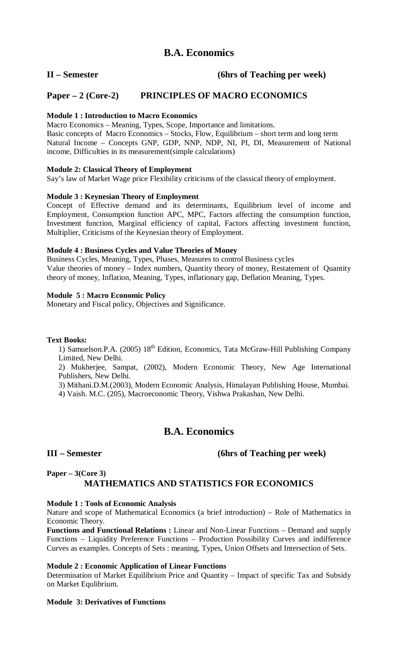# **II – Semester (6hrs of Teaching per week)**

# **Paper – 2 (Core-2) PRINCIPLES OF MACRO ECONOMICS**

## **Module 1 : Introduction to Macro Economics**

Macro Economics – Meaning, Types, Scope, Importance and limitations. Basic concepts of Macro Economics – Stocks, Flow, Equilibrium – short term and long term Natural Income – Concepts GNP, GDP, NNP, NDP, NI, PI, DI, Measurement of National income, Difficulties in its measurement(simple calculations)

### **Module 2: Classical Theory of Employment**

Say's law of Market Wage price Flexibility criticisms of the classical theory of employment.

### **Module 3 : Keynesian Theory of Employment**

Concept of Effective demand and its determinants, Equilibrium level of income and Employment, Consumption function APC, MPC, Factors affecting the consumption function, Investment function, Marginal efficiency of capital, Factors affecting investment function, Multiplier, Criticisms of the Keynesian theory of Employment.

### **Module 4 : Business Cycles and Value Theories of Money**

Business Cycles, Meaning, Types, Phases, Measures to control Business cycles Value theories of money – Index numbers, Quantity theory of money, Restatement of Quantity theory of money, Inflation, Meaning, Types, inflationary gap, Deflation Meaning, Types.

## **Module 5 : Macro Economic Policy**

Monetary and Fiscal policy, Objectives and Significance.

#### **Text Books:**

1) Samuelson.P.A. (2005) 18<sup>th</sup> Edition, Economics, Tata McGraw-Hill Publishing Company Limited, New Delhi.

2) Mukherjee, Sampat, (2002), Modern Economic Theory, New Age International Publishers, New Delhi.

3) Mithani.D.M.(2003), Modern Economic Analysis, Himalayan Publishing House, Mumbai.

4) Vaish. M.C. (205), Macroeconomic Theory, Vishwa Prakashan, New Delhi.

# **B.A. Economics**

# **III – Semester (6hrs of Teaching per week)**

# **Paper – 3(Core 3)**

# **MATHEMATICS AND STATISTICS FOR ECONOMICS**

#### **Module 1 : Tools of Economic Analysis**

Nature and scope of Mathematical Economics (a brief introduction) – Role of Mathematics in Economic Theory.

**Functions and Functional Relations :** Linear and Non-Linear Functions – Demand and supply Functions – Liquidity Preference Functions – Production Possibility Curves and indifference Curves as examples. Concepts of Sets : meaning, Types, Union Offsets and Intersection of Sets.

# **Module 2 : Economic Application of Linear Functions**

Determination of Market Equilibrium Price and Quantity – Impact of specific Tax and Subsidy on Market Equlibrium.

#### **Module 3: Derivatives of Functions**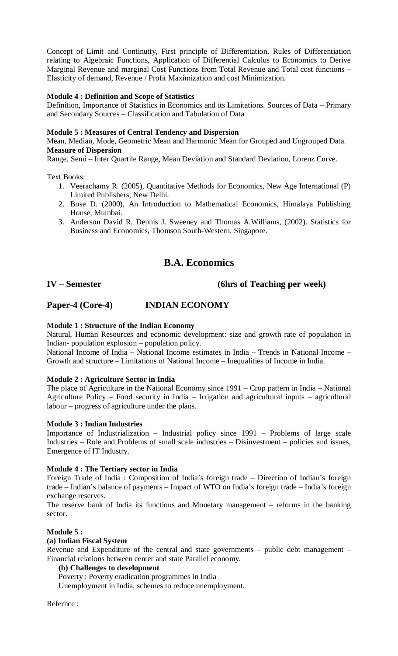Concept of Limit and Continuity, First principle of Differentiation, Rules of Differentiation relating to Algebraic Functions, Application of Differential Calculus to Economics to Derive Marginal Revenue and marginal Cost Functions from Total Revenue and Total cost functions – Elasticity of demand, Revenue / Profit Maximization and cost Minimization.

## **Module 4 : Definition and Scope of Statistics**

Definition, Importance of Statistics in Economics and its Limitations. Sources of Data – Primary and Secondary Sources – Classification and Tabulation of Data

## **Module 5 : Measures of Central Tendency and Dispersion**

Mean, Median, Mode, Geometric Mean and Harmonic Mean for Grouped and Ungrouped Data. **Measure of Dispersion**

Range, Semi – Inter Quartile Range, Mean Deviation and Standard Deviation, Lorenz Curve.

Text Books:

- 1. Veerachamy R. (2005), Quantitative Methods for Economics, New Age International (P) Limited Publishers, New Delhi.
- 2. Bose D. (2000), An Introduction to Mathematical Economics, Himalaya Publishing House, Mumbai.
- 3. Anderson David R, Dennis J. Sweeney and Thomas A.Williams, (2002). Statistics for Business and Economics, Thomson South-Western, Singapore.

# **B.A. Economics**

# **IV – Semester (6hrs of Teaching per week)**

# **Paper-4 (Core-4) INDIAN ECONOMY**

# **Module 1 : Structure of the Indian Economy**

Natural, Human Resources and economic development: size and growth rate of population in Indian- population explosion – population policy.

National Income of India – National Income estimates in India – Trends in National Income – Growth and structure – Limitations of National Income – Inequalities of Income in India.

#### **Module 2 : Agriculture Sector in India**

The place of Agriculture in the National Economy since 1991 – Crop pattern in India – National Agriculture Policy – Food security in India – Irrigation and agricultural inputs – agricultural labour – progress of agriculture under the plans.

#### **Module 3 : Indian Industries**

Importance of Industrialization – Industrial policy since 1991 – Problems of large scale Industries – Role and Problems of small scale industries – Disinvestment – policies and issues, Emergence of IT Industry.

#### **Module 4 : The Tertiary sector in India**

Foreign Trade of India : Composition of India's foreign trade – Direction of Indian's foreign trade – Indian's balance of payments – Impact of WTO on India's foreign trade – India's foreign exchange reserves.

The reserve bank of India its functions and Monetary management – reforms in the banking sector.

## **Module 5 :**

#### **(a) Indian Fiscal System**

Revenue and Expenditure of the central and state governments – public debt management – Financial relations between center and state Parallel economy.

# **(b) Challenges to development**

Poverty : Poverty eradication programmes in India

Unemployment in India, schemes to reduce unemployment.

Refernce :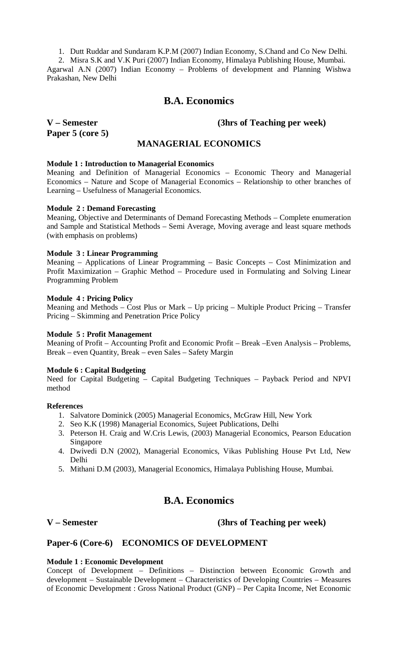1. Dutt Ruddar and Sundaram K.P.M (2007) Indian Economy, S.Chand and Co New Delhi.

2. Misra S.K and V.K Puri (2007) Indian Economy, Himalaya Publishing House, Mumbai. Agarwal A.N (2007) Indian Economy – Problems of development and Planning Wishwa Prakashan, New Delhi

# **B.A. Economics**

# **Paper 5 (core 5)**

# **V – Semester (3hrs of Teaching per week)**

# **MANAGERIAL ECONOMICS**

## **Module 1 : Introduction to Managerial Economics**

Meaning and Definition of Managerial Economics – Economic Theory and Managerial Economics – Nature and Scope of Managerial Economics – Relationship to other branches of Learning – Usefulness of Managerial Economics.

### **Module 2 : Demand Forecasting**

Meaning, Objective and Determinants of Demand Forecasting Methods – Complete enumeration and Sample and Statistical Methods – Semi Average, Moving average and least square methods (with emphasis on problems)

### **Module 3 : Linear Programming**

Meaning – Applications of Linear Programming – Basic Concepts – Cost Minimization and Profit Maximization – Graphic Method – Procedure used in Formulating and Solving Linear Programming Problem

### **Module 4 : Pricing Policy**

Meaning and Methods – Cost Plus or Mark – Up pricing – Multiple Product Pricing – Transfer Pricing – Skimming and Penetration Price Policy

#### **Module 5 : Profit Management**

Meaning of Profit – Accounting Profit and Economic Profit – Break –Even Analysis – Problems, Break – even Quantity, Break – even Sales – Safety Margin

# **Module 6 : Capital Budgeting**

Need for Capital Budgeting – Capital Budgeting Techniques – Payback Period and NPVI method

#### **References**

- 1. Salvatore Dominick (2005) Managerial Economics, McGraw Hill, New York
- 2. Seo K.K (1998) Managerial Economics, Sujeet Publications, Delhi
- 3. Peterson H. Craig and W.Cris Lewis, (2003) Managerial Economics, Pearson Education Singapore
- 4. Dwivedi D.N (2002), Managerial Economics, Vikas Publishing House Pvt Ltd, New Delhi
- 5. Mithani D.M (2003), Managerial Economics, Himalaya Publishing House, Mumbai.

# **B.A. Economics**

# **V – Semester (3hrs of Teaching per week)**

# **Paper-6 (Core-6) ECONOMICS OF DEVELOPMENT**

# **Module 1 : Economic Development**

Concept of Development – Definitions – Distinction between Economic Growth and development – Sustainable Development – Characteristics of Developing Countries – Measures of Economic Development : Gross National Product (GNP) – Per Capita Income, Net Economic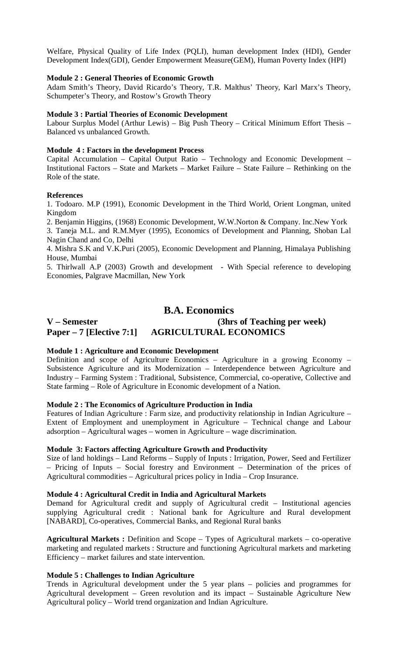Welfare, Physical Quality of Life Index (PQLI), human development Index (HDI), Gender Development Index(GDI), Gender Empowerment Measure(GEM), Human Poverty Index (HPI)

### **Module 2 : General Theories of Economic Growth**

Adam Smith's Theory, David Ricardo's Theory, T.R. Malthus' Theory, Karl Marx's Theory, Schumpeter's Theory, and Rostow's Growth Theory

#### **Module 3 : Partial Theories of Economic Development**

Labour Surplus Model (Arthur Lewis) – Big Push Theory – Critical Minimum Effort Thesis – Balanced vs unbalanced Growth.

#### **Module 4 : Factors in the development Process**

Capital Accumulation – Capital Output Ratio – Technology and Economic Development – Institutional Factors – State and Markets – Market Failure – State Failure – Rethinking on the Role of the state.

#### **References**

1. Todoaro. M.P (1991), Economic Development in the Third World, Orient Longman, united Kingdom

2. Benjamin Higgins, (1968) Economic Development, W.W.Norton & Company. Inc.New York

3. Taneja M.L. and R.M.Myer (1995), Economics of Development and Planning, Shoban Lal Nagin Chand and Co, Delhi

4. Mishra S.K and V.K.Puri (2005), Economic Development and Planning, Himalaya Publishing House, Mumbai

5. Thirlwall A.P (2003) Growth and development - With Special reference to developing Economies, Palgrave Macmillan, New York

# **B.A. Economics**

# **V – Semester (3hrs of Teaching per week) Paper – 7 [Elective 7:1] AGRICULTURAL ECONOMICS**

# **Module 1 : Agriculture and Economic Development**

Definition and scope of Agriculture Economics – Agriculture in a growing Economy – Subsistence Agriculture and its Modernization – Interdependence between Agriculture and Industry – Farming System : Traditional, Subsistence, Commercial, co-operative, Collective and State farming – Role of Agriculture in Economic development of a Nation.

#### **Module 2 : The Economics of Agriculture Production in India**

Features of Indian Agriculture : Farm size, and productivity relationship in Indian Agriculture – Extent of Employment and unemployment in Agriculture – Technical change and Labour adsorption – Agricultural wages – women in Agriculture – wage discrimination.

#### **Module 3: Factors affecting Agriculture Growth and Productivity**

Size of land holdings – Land Reforms – Supply of Inputs : Irrigation, Power, Seed and Fertilizer – Pricing of Inputs – Social forestry and Environment – Determination of the prices of Agricultural commodities – Agricultural prices policy in India – Crop Insurance.

#### **Module 4 : Agricultural Credit in India and Agricultural Markets**

Demand for Agricultural credit and supply of Agricultural credit – Institutional agencies supplying Agricultural credit : National bank for Agriculture and Rural development [NABARD], Co-operatives, Commercial Banks, and Regional Rural banks

**Agricultural Markets :** Definition and Scope – Types of Agricultural markets – co-operative marketing and regulated markets : Structure and functioning Agricultural markets and marketing Efficiency – market failures and state intervention.

#### **Module 5 : Challenges to Indian Agriculture**

Trends in Agricultural development under the 5 year plans – policies and programmes for Agricultural development – Green revolution and its impact – Sustainable Agriculture New Agricultural policy – World trend organization and Indian Agriculture.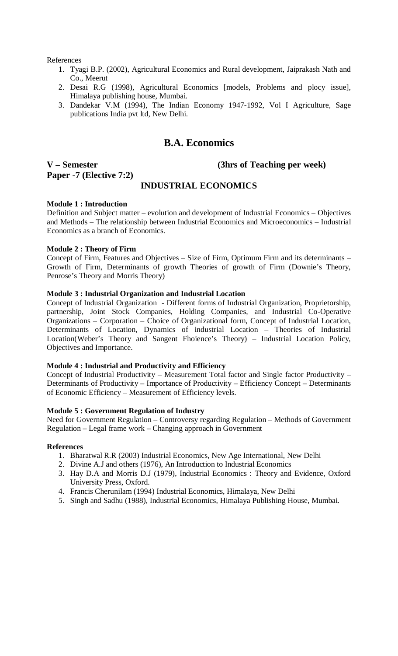References

- 1. Tyagi B.P. (2002), Agricultural Economics and Rural development, Jaiprakash Nath and Co., Meerut
- 2. Desai R.G (1998), Agricultural Economics [models, Problems and plocy issue], Himalaya publishing house, Mumbai.
- 3. Dandekar V.M (1994), The Indian Economy 1947-1992, Vol I Agriculture, Sage publications India pvt ltd, New Delhi.

# **B.A. Economics**

# **Paper -7 (Elective 7:2)**

# **V – Semester (3hrs of Teaching per week)**

# **INDUSTRIAL ECONOMICS**

# **Module 1 : Introduction**

Definition and Subject matter – evolution and development of Industrial Economics – Objectives and Methods – The relationship between Industrial Economics and Microeconomics – Industrial Economics as a branch of Economics.

### **Module 2 : Theory of Firm**

Concept of Firm, Features and Objectives – Size of Firm, Optimum Firm and its determinants – Growth of Firm, Determinants of growth Theories of growth of Firm (Downie's Theory, Penrose's Theory and Morris Theory)

## **Module 3 : Industrial Organization and Industrial Location**

Concept of Industrial Organization - Different forms of Industrial Organization, Proprietorship, partnership, Joint Stock Companies, Holding Companies, and Industrial Co-Operative Organizations – Corporation – Choice of Organizational form, Concept of Industrial Location, Determinants of Location, Dynamics of industrial Location – Theories of Industrial Location(Weber's Theory and Sangent Fhoience's Theory) – Industrial Location Policy, Objectives and Importance.

# **Module 4 : Industrial and Productivity and Efficiency**

Concept of Industrial Productivity – Measurement Total factor and Single factor Productivity – Determinants of Productivity – Importance of Productivity – Efficiency Concept – Determinants of Economic Efficiency – Measurement of Efficiency levels.

#### **Module 5 : Government Regulation of Industry**

Need for Government Regulation – Controversy regarding Regulation – Methods of Government Regulation – Legal frame work – Changing approach in Government

#### **References**

- 1. Bharatwal R.R (2003) Industrial Economics, New Age International, New Delhi
- 2. Divine A.J and others (1976), An Introduction to Industrial Economics
- 3. Hay D.A and Morris D.J (1979), Industrial Economics : Theory and Evidence, Oxford University Press, Oxford.
- 4. Francis Cherunilam (1994) Industrial Economics, Himalaya, New Delhi
- 5. Singh and Sadhu (1988), Industrial Economics, Himalaya Publishing House, Mumbai.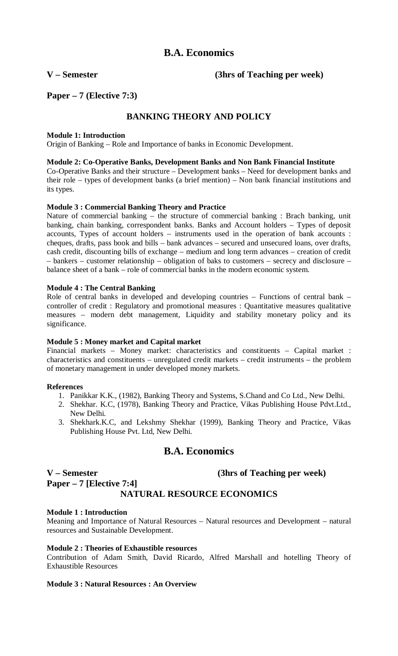**V – Semester (3hrs of Teaching per week)**

**Paper – 7 (Elective 7:3)**

# **BANKING THEORY AND POLICY**

# **Module 1: Introduction**

Origin of Banking – Role and Importance of banks in Economic Development.

# **Module 2: Co-Operative Banks, Development Banks and Non Bank Financial Institute**

Co-Operative Banks and their structure – Development banks – Need for development banks and their role – types of development banks (a brief mention) – Non bank financial institutions and its types.

# **Module 3 : Commercial Banking Theory and Practice**

Nature of commercial banking – the structure of commercial banking : Brach banking, unit banking, chain banking, correspondent banks. Banks and Account holders – Types of deposit accounts, Types of account holders – instruments used in the operation of bank accounts : cheques, drafts, pass book and bills – bank advances – secured and unsecured loans, over drafts, cash credit, discounting bills of exchange – medium and long term advances – creation of credit – bankers – customer relationship – obligation of baks to customers – secrecy and disclosure – balance sheet of a bank – role of commercial banks in the modern economic system.

# **Module 4 : The Central Banking**

Role of central banks in developed and developing countries – Functions of central bank – controller of credit : Regulatory and promotional measures : Quantitative measures qualitative measures – modern debt management, Liquidity and stability monetary policy and its significance.

# **Module 5 : Money market and Capital market**

Financial markets – Money market: characteristics and constituents – Capital market : characteristics and constituents – unregulated credit markets – credit instruments – the problem of monetary management in under developed money markets.

# **References**

- 1. Panikkar K.K., (1982), Banking Theory and Systems, S.Chand and Co Ltd., New Delhi.
- 2. Shekhar. K.C, (1978), Banking Theory and Practice, Vikas Publishing House Pdvt.Ltd., New Delhi.
- 3. Shekhark.K.C, and Lekshmy Shekhar (1999), Banking Theory and Practice, Vikas Publishing House Pvt. Ltd, New Delhi.

# **B.A. Economics**

# **V – Semester (3hrs of Teaching per week)**

# **NATURAL RESOURCE ECONOMICS**

# **Module 1 : Introduction**

**Paper – 7 [Elective 7:4]**

Meaning and Importance of Natural Resources – Natural resources and Development – natural resources and Sustainable Development.

# **Module 2 : Theories of Exhaustible resources**

Contribution of Adam Smith, David Ricardo, Alfred Marshall and hotelling Theory of Exhaustible Resources

# **Module 3 : Natural Resources : An Overview**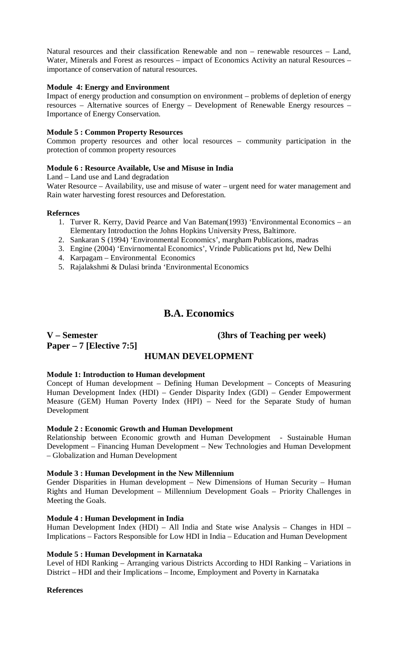Natural resources and their classification Renewable and non – renewable resources – Land, Water, Minerals and Forest as resources – impact of Economics Activity an natural Resources – importance of conservation of natural resources.

## **Module 4: Energy and Environment**

Impact of energy production and consumption on environment – problems of depletion of energy resources – Alternative sources of Energy – Development of Renewable Energy resources – Importance of Energy Conservation.

### **Module 5 : Common Property Resources**

Common property resources and other local resources – community participation in the protection of common property resources

### **Module 6 : Resource Available, Use and Misuse in India**

Land – Land use and Land degradation

Water Resource – Availability, use and misuse of water – urgent need for water management and Rain water harvesting forest resources and Deforestation.

### **Refernces**

- 1. Turver R. Kerry, David Pearce and Van Bateman(1993) 'Environmental Economics an Elementary Introduction the Johns Hopkins University Press, Baltimore.
- 2. Sankaran S (1994) 'Environmental Economics', margham Publications, madras
- 3. Engine (2004) 'Envirnomental Economics', Vrinde Publications pvt ltd, New Delhi
- 4. Karpagam Environmental Economics
- 5. Rajalakshmi & Dulasi brinda 'Environmental Economics

# **B.A. Economics**

**Paper – 7 [Elective 7:5]**

**V – Semester (3hrs of Teaching per week)**

# **HUMAN DEVELOPMENT**

#### **Module 1: Introduction to Human development**

Concept of Human development – Defining Human Development – Concepts of Measuring Human Development Index (HDI) – Gender Disparity Index (GDI) – Gender Empowerment Measure (GEM) Human Poverty Index (HPI) – Need for the Separate Study of human Development

#### **Module 2 : Economic Growth and Human Development**

Relationship between Economic growth and Human Development - Sustainable Human Development – Financing Human Development – New Technologies and Human Development – Globalization and Human Development

#### **Module 3 : Human Development in the New Millennium**

Gender Disparities in Human development – New Dimensions of Human Security – Human Rights and Human Development – Millennium Development Goals – Priority Challenges in Meeting the Goals.

#### **Module 4 : Human Development in India**

Human Development Index (HDI) – All India and State wise Analysis – Changes in HDI – Implications – Factors Responsible for Low HDI in India – Education and Human Development

#### **Module 5 : Human Development in Karnataka**

Level of HDI Ranking – Arranging various Districts According to HDI Ranking – Variations in District – HDI and their Implications – Income, Employment and Poverty in Karnataka

#### **References**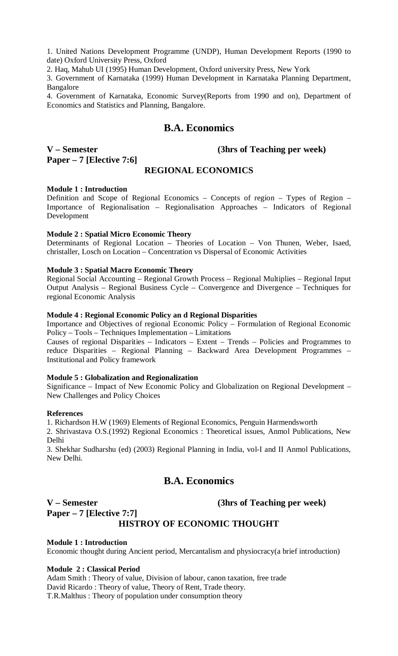1. United Nations Development Programme (UNDP), Human Development Reports (1990 to date) Oxford University Press, Oxford

2. Haq, Mahub UI (1995) Human Development, Oxford university Press, New York

3. Government of Karnataka (1999) Human Development in Karnataka Planning Department, Bangalore

4. Government of Karnataka, Economic Survey(Reports from 1990 and on), Department of Economics and Statistics and Planning, Bangalore.

# **B.A. Economics**

# **Paper – 7 [Elective 7:6]**

**V – Semester (3hrs of Teaching per week)**

# **REGIONAL ECONOMICS**

# **Module 1 : Introduction**

Definition and Scope of Regional Economics – Concepts of region – Types of Region – Importance of Regionalisation – Regionalisation Approaches – Indicators of Regional Development

# **Module 2 : Spatial Micro Economic Theory**

Determinants of Regional Location – Theories of Location – Von Thunen, Weber, Isaed, christaller, Losch on Location – Concentration vs Dispersal of Economic Activities

# **Module 3 : Spatial Macro Economic Theory**

Regional Social Accounting – Regional Growth Process – Regional Multiplies – Regional Input Output Analysis – Regional Business Cycle – Convergence and Divergence – Techniques for regional Economic Analysis

# **Module 4 : Regional Economic Policy an d Regional Disparities**

Importance and Objectives of regional Economic Policy – Formulation of Regional Economic Policy – Tools – Techniques Implementation – Limitations

Causes of regional Disparities – Indicators – Extent – Trends – Policies and Programmes to reduce Disparities – Regional Planning – Backward Area Development Programmes – Institutional and Policy framework

# **Module 5 : Globalization and Regionalization**

Significance – Impact of New Economic Policy and Globalization on Regional Development – New Challenges and Policy Choices

# **References**

1. Richardson H.W (1969) Elements of Regional Economics, Penguin Harmendsworth

2. Shrivastava O.S.(1992) Regional Economics : Theoretical issues, Anmol Publications, New Delhi

3. Shekhar Sudharshu (ed) (2003) Regional Planning in India, vol-I and II Anmol Publications, New Delhi.

# **B.A. Economics**

# **Paper – 7 [Elective 7:7]**

# **V – Semester (3hrs of Teaching per week)**

# **HISTROY OF ECONOMIC THOUGHT**

# **Module 1 : Introduction**

Economic thought during Ancient period, Mercantalism and physiocracy(a brief introduction)

# **Module 2 : Classical Period**

Adam Smith : Theory of value, Division of labour, canon taxation, free trade David Ricardo : Theory of value, Theory of Rent, Trade theory. T.R.Malthus : Theory of population under consumption theory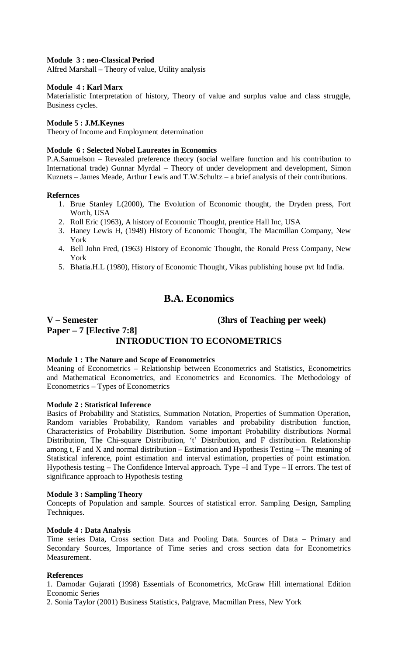## **Module 3 : neo-Classical Period**

Alfred Marshall – Theory of value, Utility analysis

#### **Module 4 : Karl Marx**

Materialistic Interpretation of history, Theory of value and surplus value and class struggle, Business cycles.

### **Module 5 : J.M.Keynes**

Theory of Income and Employment determination

#### **Module 6 : Selected Nobel Laureates in Economics**

P.A.Samuelson – Revealed preference theory (social welfare function and his contribution to International trade) Gunnar Myrdal – Theory of under development and development, Simon Kuznets – James Meade, Arthur Lewis and T.W.Schultz – a brief analysis of their contributions.

#### **Refernces**

- 1. Brue Stanley L(2000), The Evolution of Economic thought, the Dryden press, Fort Worth, USA
- 2. Roll Eric (1963), A history of Economic Thought, prentice Hall Inc, USA
- 3. Haney Lewis H, (1949) History of Economic Thought, The Macmillan Company, New York
- 4. Bell John Fred, (1963) History of Economic Thought, the Ronald Press Company, New York
- 5. Bhatia.H.L (1980), History of Economic Thought, Vikas publishing house pvt ltd India.

# **B.A. Economics**

# **V – Semester (3hrs of Teaching per week) Paper – 7 [Elective 7:8] INTRODUCTION TO ECONOMETRICS**

#### **Module 1 : The Nature and Scope of Econometrics**

Meaning of Econometrics – Relationship between Econometrics and Statistics, Econometrics and Mathematical Econometrics, and Econometrics and Economics. The Methodology of Econometrics – Types of Econometrics

# **Module 2 : Statistical Inference**

Basics of Probability and Statistics, Summation Notation, Properties of Summation Operation, Random variables Probability, Random variables and probability distribution function, Characteristics of Probability Distribution. Some important Probability distributions Normal Distribution, The Chi-square Distribution, 't' Distribution, and F distribution. Relationship among t, F and X and normal distribution – Estimation and Hypothesis Testing – The meaning of Statistical inference, point estimation and interval estimation, properties of point estimation. Hypothesis testing – The Confidence Interval approach. Type –I and Type – II errors. The test of significance approach to Hypothesis testing

#### **Module 3 : Sampling Theory**

Concepts of Population and sample. Sources of statistical error. Sampling Design, Sampling Techniques.

#### **Module 4 : Data Analysis**

Time series Data, Cross section Data and Pooling Data. Sources of Data – Primary and Secondary Sources, Importance of Time series and cross section data for Econometrics Measurement.

# **References**

1. Damodar Gujarati (1998) Essentials of Econometrics, McGraw Hill international Edition Economic Series

2. Sonia Taylor (2001) Business Statistics, Palgrave, Macmillan Press, New York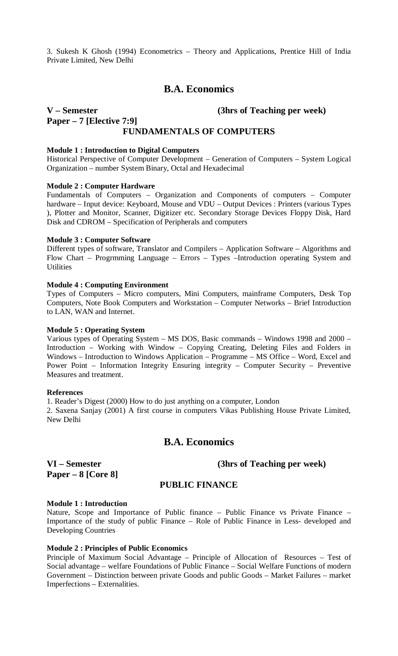3. Sukesh K Ghosh (1994) Econometrics – Theory and Applications, Prentice Hill of India Private Limited, New Delhi

# **B.A. Economics**

# **V – Semester (3hrs of Teaching per week) Paper – 7 [Elective 7:9] FUNDAMENTALS OF COMPUTERS**

**Module 1 : Introduction to Digital Computers** Historical Perspective of Computer Development – Generation of Computers – System Logical Organization – number System Binary, Octal and Hexadecimal

### **Module 2 : Computer Hardware**

Fundamentals of Computers – Organization and Components of computers – Computer hardware – Input device: Keyboard, Mouse and VDU – Output Devices : Printers (various Types ), Plotter and Monitor, Scanner, Digitizer etc. Secondary Storage Devices Floppy Disk, Hard Disk and CDROM – Specification of Peripherals and computers

#### **Module 3 : Computer Software**

Different types of software, Translator and Compilers – Application Software – Algorithms and Flow Chart – Progrmming Language – Errors – Types –Introduction operating System and **Utilities** 

# **Module 4 : Computing Environment**

Types of Computers – Micro computers, Mini Computers, mainframe Computers, Desk Top Computers, Note Book Computers and Workstation – Computer Networks – Brief Introduction to LAN, WAN and Internet.

#### **Module 5 : Operating System**

Various types of Operating System – MS DOS, Basic commands – Windows 1998 and 2000 – Introduction – Working with Window – Copying Creating, Deleting Files and Folders in Windows – Introduction to Windows Application – Programme – MS Office – Word, Excel and Power Point – Information Integrity Ensuring integrity – Computer Security – Preventive Measures and treatment.

#### **References**

1. Reader's Digest (2000) How to do just anything on a computer, London 2. Saxena Sanjay (2001) A first course in computers Vikas Publishing House Private Limited, New Delhi

# **B.A. Economics**

**Paper – 8 [Core 8]**

**VI – Semester (3hrs of Teaching per week)**

# **PUBLIC FINANCE**

#### **Module 1 : Introduction**

Nature, Scope and Importance of Public finance - Public Finance vs Private Finance -Importance of the study of public Finance – Role of Public Finance in Less- developed and Developing Countries

# **Module 2 : Principles of Public Economics**

Principle of Maximum Social Advantage – Principle of Allocation of Resources – Test of Social advantage – welfare Foundations of Public Finance – Social Welfare Functions of modern Government – Distinction between private Goods and public Goods – Market Failures – market Imperfections – Externalities.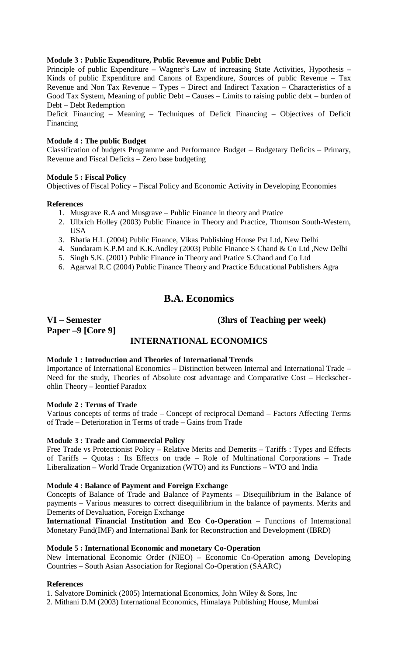# **Module 3 : Public Expenditure, Public Revenue and Public Debt**

Principle of public Expenditure – Wagner's Law of increasing State Activities, Hypothesis – Kinds of public Expenditure and Canons of Expenditure, Sources of public Revenue – Tax Revenue and Non Tax Revenue – Types – Direct and Indirect Taxation – Characteristics of a Good Tax System, Meaning of public Debt – Causes – Limits to raising public debt – burden of Debt – Debt Redemption

Deficit Financing – Meaning – Techniques of Deficit Financing – Objectives of Deficit Financing

# **Module 4 : The public Budget**

Classification of budgets Programme and Performance Budget – Budgetary Deficits – Primary, Revenue and Fiscal Deficits – Zero base budgeting

# **Module 5 : Fiscal Policy**

Objectives of Fiscal Policy – Fiscal Policy and Economic Activity in Developing Economies

# **References**

- 1. Musgrave R.A and Musgrave Public Finance in theory and Pratice
- 2. Ulbrich Holley (2003) Public Finance in Theory and Practice, Thomson South-Western, USA
- 3. Bhatia H.L (2004) Public Finance, Vikas Publishing House Pvt Ltd, New Delhi
- 4. Sundaram K.P.M and K.K.Andley (2003) Public Finance S Chand & Co Ltd ,New Delhi
- 5. Singh S.K. (2001) Public Finance in Theory and Pratice S.Chand and Co Ltd
- 6. Agarwal R.C (2004) Public Finance Theory and Practice Educational Publishers Agra

# **B.A. Economics**

**Paper –9 [Core 9]**

# **VI – Semester (3hrs of Teaching per week)**

# **INTERNATIONAL ECONOMICS**

# **Module 1 : Introduction and Theories of International Trends**

Importance of International Economics – Distinction between Internal and International Trade – Need for the study, Theories of Absolute cost advantage and Comparative Cost – Heckscherohlin Theory – leontief Paradox

# **Module 2 : Terms of Trade**

Various concepts of terms of trade – Concept of reciprocal Demand – Factors Affecting Terms of Trade – Deterioration in Terms of trade – Gains from Trade

# **Module 3 : Trade and Commercial Policy**

Free Trade vs Protectionist Policy – Relative Merits and Demerits – Tariffs : Types and Effects of Tariffs – Quotas : Its Effects on trade – Role of Multinational Corporations – Trade Liberalization – World Trade Organization (WTO) and its Functions – WTO and India

# **Module 4 : Balance of Payment and Foreign Exchange**

Concepts of Balance of Trade and Balance of Payments – Disequilibrium in the Balance of payments – Various measures to correct disequilibrium in the balance of payments. Merits and Demerits of Devaluation, Foreign Exchange

**International Financial Institution and Eco Co-Operation** – Functions of International Monetary Fund(IMF) and International Bank for Reconstruction and Development (IBRD)

# **Module 5 : International Economic and monetary Co-Operation**

New International Economic Order (NIEO) – Economic Co-Operation among Developing Countries – South Asian Association for Regional Co-Operation (SAARC)

# **References**

1. Salvatore Dominick (2005) International Economics, John Wiley & Sons, Inc

2. Mithani D.M (2003) International Economics, Himalaya Publishing House, Mumbai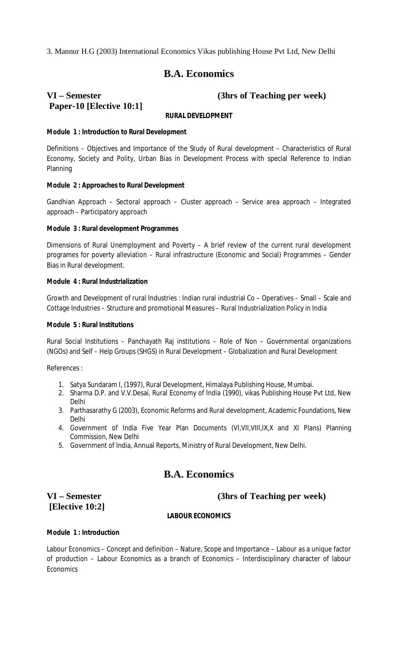3. Mannur H.G (2003) International Economics Vikas publishing House Pvt Ltd, New Delhi

# **B.A. Economics**

# **Paper-10 [Elective 10:1]**

**VI – Semester (3hrs of Teaching per week)**

# **RURAL DEVELOPMENT**

# **Module 1 : Introduction to Rural Development**

Definitions – Objectives and Importance of the Study of Rural development – Characteristics of Rural Economy, Society and Polity, Urban Bias in Development Process with special Reference to Indian Planning

### **Module 2 : Approaches to Rural Development**

Gandhian Approach – Sectoral approach – Cluster approach – Service area approach – Integrated approach – Participatory approach

### **Module 3 : Rural development Programmes**

Dimensions of Rural Unemployment and Poverty – A brief review of the current rural development programes for poverty alleviation – Rural infrastructure (Economic and Social) Programmes – Gender Bias in Rural development.

### **Module 4 : Rural Industrialization**

Growth and Development of rural Industries : Indian rural industrial Co – Operatives – Small – Scale and Cottage Industries – Structure and promotional Measures – Rural Industrialization Policy in India

## **Module 5 : Rural Institutions**

Rural Social Institutions – Panchayath Raj institutions – Role of Non – Governmental organizations (NGOs) and Self – Help Groups (SHGS) in Rural Development – Globalization and Rural Development

References :

- 1. Satya Sundaram I, (1997), Rural Development, Himalaya Publishing House, Mumbai.
- 2. Sharma D.P. and V.V.Desai, Rural Economy of India (1990), vikas Publishing House Pvt Ltd, New Delhi
- 3. Parthasarathy G (2003), Economic Reforms and Rural development, Academic Foundations, New Delhi
- 4. Government of India Five Year Plan Documents (VI,VII,VIII,IX,X and XI Plans) Planning Commission, New Delhi
- 5. Government of India, Annual Reports, Ministry of Rural Development, New Delhi.

# **B.A. Economics**

# **[Elective 10:2]**

# **VI – Semester (3hrs of Teaching per week)**

# **LABOUR ECONOMICS**

#### **Module 1 : Introduction**

Labour Economics – Concept and definition – Nature, Scope and Importance – Labour as a unique factor of production – Labour Economics as a branch of Economics – Interdisciplinary character of labour **Economics**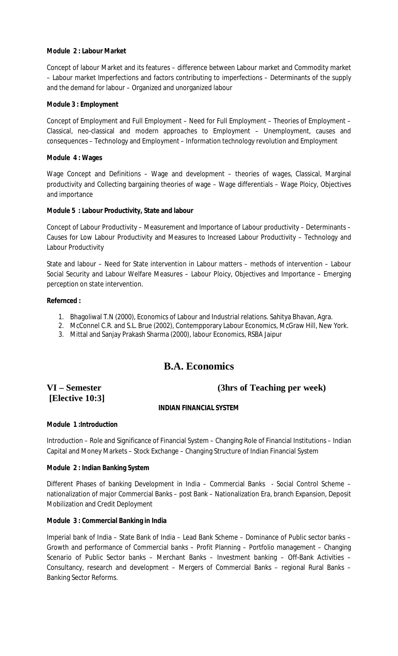# **Module 2 : Labour Market**

Concept of labour Market and its features – difference between Labour market and Commodity market – Labour market Imperfections and factors contributing to imperfections – Determinants of the supply and the demand for labour – Organized and unorganized labour

# **Module 3 : Employment**

Concept of Employment and Full Employment – Need for Full Employment – Theories of Employment – Classical, neo-classical and modern approaches to Employment – Unemployment, causes and consequences – Technology and Employment – Information technology revolution and Employment

# **Module 4 : Wages**

Wage Concept and Definitions – Wage and development – theories of wages, Classical, Marginal productivity and Collecting bargaining theories of wage – Wage differentials – Wage Ploicy, Objectives and importance

# **Module 5 : Labour Productivity, State and labour**

Concept of Labour Productivity – Measurement and Importance of Labour productivity – Determinants – Causes for Low Labour Productivity and Measures to Increased Labour Productivity – Technology and Labour Productivity

State and labour – Need for State intervention in Labour matters – methods of intervention – Labour Social Security and Labour Welfare Measures – Labour Ploicy, Objectives and Importance – Emerging perception on state intervention.

# **Refernced :**

- 1. Bhagoliwal T.N (2000), Economics of Labour and Industrial relations. Sahitya Bhavan, Agra.
- 2. McConnel C.R. and S.L. Brue (2002), Contempporary Labour Economics, McGraw Hill, New York.
- 3. Mittal and Sanjay Prakash Sharma (2000), labour Economics, RSBA Jaipur

# **B.A. Economics**

# **[Elective 10:3]**

# **VI – Semester (3hrs of Teaching per week)**

# **INDIAN FINANCIAL SYSTEM**

# **Module 1 :Introduction**

Introduction – Role and Significance of Financial System – Changing Role of Financial Institutions – Indian Capital and Money Markets – Stock Exchange – Changing Structure of Indian Financial System

# **Module 2 : Indian Banking System**

Different Phases of banking Development in India – Commercial Banks - Social Control Scheme – nationalization of major Commercial Banks – post Bank – Nationalization Era, branch Expansion, Deposit Mobilization and Credit Deployment

# **Module 3 : Commercial Banking in India**

Imperial bank of India – State Bank of India – Lead Bank Scheme – Dominance of Public sector banks – Growth and performance of Commercial banks – Profit Planning – Portfolio management – Changing Scenario of Public Sector banks – Merchant Banks – Investment banking – Off-Bank Activities – Consultancy, research and development – Mergers of Commercial Banks – regional Rural Banks – Banking Sector Reforms.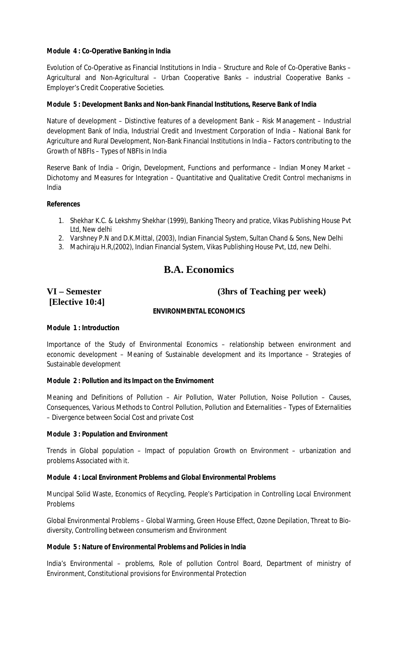# **Module 4 : Co-Operative Banking in India**

Evolution of Co-Operative as Financial Institutions in India – Structure and Role of Co-Operative Banks – Agricultural and Non-Agricultural – Urban Cooperative Banks – industrial Cooperative Banks – Employer's Credit Cooperative Societies.

# **Module 5 : Development Banks and Non-bank Financial Institutions, Reserve Bank of India**

Nature of development – Distinctive features of a development Bank – Risk Management – Industrial development Bank of India, Industrial Credit and Investment Corporation of India – National Bank for Agriculture and Rural Development, Non-Bank Financial Institutions in India – Factors contributing to the Growth of NBFIs – Types of NBFIs in India

Reserve Bank of India – Origin, Development, Functions and performance – Indian Money Market – Dichotomy and Measures for Integration – Quantitative and Qualitative Credit Control mechanisms in India

# **References**

- 1. Shekhar K.C. & Lekshmy Shekhar (1999), Banking Theory and pratice, Vikas Publishing House Pvt Ltd, New delhi
- 2. Varshney P.N and D.K.Mittal, (2003), Indian Financial System, Sultan Chand & Sons, New Delhi
- 3. Machiraju H.R,(2002), Indian Financial System, Vikas Publishing House Pvt, Ltd, new Delhi.

# **B.A. Economics**

# **[Elective 10:4]**

# **VI – Semester (3hrs of Teaching per week)**

# **ENVIRONMENTAL ECONOMICS**

# **Module 1 : Introduction**

Importance of the Study of Environmental Economics – relationship between environment and economic development – Meaning of Sustainable development and its Importance – Strategies of Sustainable development

# **Module 2 : Pollution and its Impact on the Envirnoment**

Meaning and Definitions of Pollution – Air Pollution, Water Pollution, Noise Pollution – Causes, Consequences, Various Methods to Control Pollution, Pollution and Externalities – Types of Externalities – Divergence between Social Cost and private Cost

# **Module 3 : Population and Environment**

Trends in Global population – Impact of population Growth on Environment – urbanization and problems Associated with it.

# **Module 4 : Local Environment Problems and Global Environmental Problems**

Muncipal Solid Waste, Economics of Recycling, People's Participation in Controlling Local Environment Problems

Global Environmental Problems – Global Warming, Green House Effect, Ozone Depilation, Threat to Biodiversity, Controlling between consumerism and Environment

# **Module 5 : Nature of Environmental Problems and Policies in India**

India's Environmental – problems, Role of pollution Control Board, Department of ministry of Environment, Constitutional provisions for Environmental Protection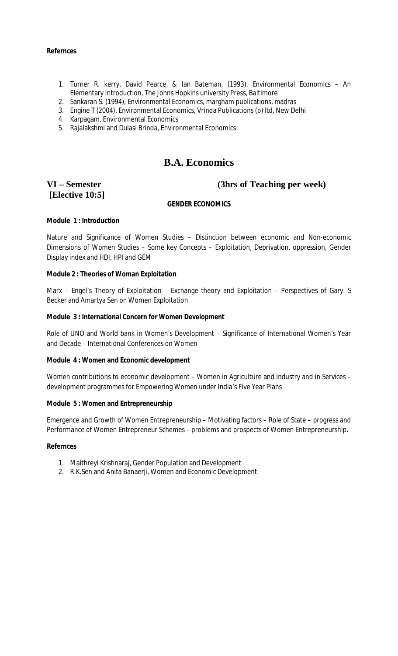### **Refernces**

- 1. Turner R. kerry, David Pearce, & Ian Bateman, (1993), Environmental Economics An Elementary Introduction, The Johns Hopkins university Press, Baltimore
- 2. Sankaran S. (1994), Environmental Economics, margham publications, madras
- 3. Engine T (2004), Environmental Economics, Vrinda Publications (p) ltd, New Delhi
- 4. Karpagam, Environmental Economics
- 5. Rajalakshmi and Dulasi Brinda, Environmental Economics

# **B.A. Economics**

# **[Elective 10:5]**

# **VI – Semester (3hrs of Teaching per week)**

# **GENDER ECONOMICS**

# **Module 1 : Introduction**

Nature and Significance of Women Studies – Distinction between economic and Non-economic Dimensions of Women Studies – Some key Concepts – Exploitation, Deprivation, oppression, Gender Display index and HDI, HPI and GEM

### **Module 2 : Theories of Woman Exploitation**

Marx – Engel's Theory of Exploitation – Exchange theory and Exploitation – Perspectives of Gary. S Becker and Amartya Sen on Women Exploitation

### **Module 3 : International Concern for Women Development**

Role of UNO and World bank in Women's Development – Significance of International Women's Year and Decade – International Conferences on Women

#### **Module 4 : Women and Economic development**

Women contributions to economic development - Women in Agriculture and industry and in Services development programmes for Empowering Women under India's Five Year Plans

#### **Module 5 : Women and Entrepreneurship**

Emergence and Growth of Women Entrepreneurship – Motivating factors – Role of State – progress and Performance of Women Entrepreneur Schemes – problems and prospects of Women Entrepreneurship.

#### **Refernces**

- 1. Maithreyi Krishnaraj, Gender Population and Development
- 2. R.K.Sen and Anita Banaerji, Women and Economic Development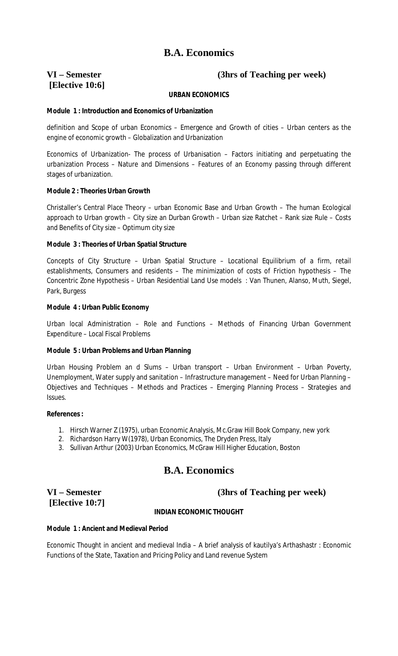# **[Elective 10:6]**

# **VI – Semester (3hrs of Teaching per week)**

# **URBAN ECONOMICS**

## **Module 1 : Introduction and Economics of Urbanization**

definition and Scope of urban Economics – Emergence and Growth of cities – Urban centers as the engine of economic growth – Globalization and Urbanization

Economics of Urbanization- The process of Urbanisation – Factors initiating and perpetuating the urbanization Process – Nature and Dimensions – Features of an Economy passing through different stages of urbanization.

### **Module 2 : Theories Urban Growth**

Christaller's Central Place Theory – urban Economic Base and Urban Growth – The human Ecological approach to Urban growth – City size an Durban Growth – Urban size Ratchet – Rank size Rule – Costs and Benefits of City size – Optimum city size

### **Module 3 : Theories of Urban Spatial Structure**

Concepts of City Structure – Urban Spatial Structure – Locational Equilibrium of a firm, retail establishments, Consumers and residents – The minimization of costs of Friction hypothesis – The Concentric Zone Hypothesis – Urban Residential Land Use models : Van Thunen, Alanso, Muth, Siegel, Park, Burgess

### **Module 4 : Urban Public Economy**

Urban local Administration – Role and Functions – Methods of Financing Urban Government Expenditure – Local Fiscal Problems

# **Module 5 : Urban Problems and Urban Planning**

Urban Housing Problem an d Slums – Urban transport – Urban Environment – Urban Poverty, Unemployment, Water supply and sanitation – Infrastructure management – Need for Urban Planning – Objectives and Techniques – Methods and Practices – Emerging Planning Process – Strategies and Issues.

#### **References :**

- 1. Hirsch Warner Z (1975), urban Economic Analysis, Mc.Graw Hill Book Company, new york
- 2. Richardson Harry W(1978), Urban Economics, The Dryden Press, Italy
- 3. Sullivan Arthur (2003) Urban Economics, McGraw Hill Higher Education, Boston

# **B.A. Economics**

# **[Elective 10:7]**

# **VI – Semester (3hrs of Teaching per week)**

# **INDIAN ECONOMIC THOUGHT**

# **Module 1 : Ancient and Medieval Period**

Economic Thought in ancient and medieval India – A brief analysis of kautilya's Arthashastr : Economic Functions of the State, Taxation and Pricing Policy and Land revenue System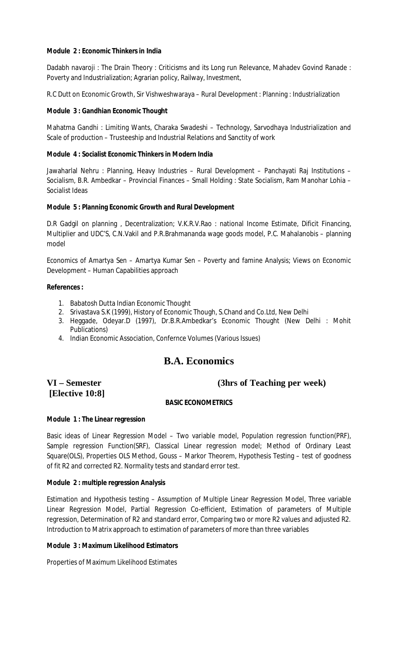# **Module 2 : Economic Thinkers in India**

Dadabh navaroji : The Drain Theory : Criticisms and its Long run Relevance, Mahadev Govind Ranade : Poverty and Industrialization; Agrarian policy, Railway, Investment,

R.C Dutt on Economic Growth, Sir Vishweshwaraya – Rural Development : Planning : Industrialization

# **Module 3 : Gandhian Economic Thought**

Mahatma Gandhi : Limiting Wants, Charaka Swadeshi – Technology, Sarvodhaya Industrialization and Scale of production – Trusteeship and Industrial Relations and Sanctity of work

# **Module 4 : Socialist Economic Thinkers in Modern India**

Jawaharlal Nehru : Planning, Heavy Industries – Rural Development – Panchayati Raj Institutions – Socialism, B.R. Ambedkar – Provincial Finances – Small Holding : State Socialism, Ram Manohar Lohia – Socialist Ideas

# **Module 5 : Planning Economic Growth and Rural Development**

D.R Gadgil on planning , Decentralization; V.K.R.V.Rao : national Income Estimate, Dificit Financing, Multiplier and UDC'S, C.N.Vakil and P.R.Brahmananda wage goods model, P.C. Mahalanobis – planning model

Economics of Amartya Sen – Amartya Kumar Sen – Poverty and famine Analysis; Views on Economic Development – Human Capabilities approach

# **References :**

- 1. Babatosh Dutta Indian Economic Thought
- 2. Srivastava S.K (1999), History of Economic Though, S.Chand and Co.Ltd, New Delhi
- 3. Heggade, Odeyar.D (1997), Dr.B.R.Ambedkar's Economic Thought (New Delhi : Mohit Publications)
- 4. Indian Economic Association, Confernce Volumes (Various Issues)

# **B.A. Economics**

# **[Elective 10:8]**

# **VI – Semester (3hrs of Teaching per week)**

# **BASIC ECONOMETRICS**

# **Module 1 : The Linear regression**

Basic ideas of Linear Regression Model – Two variable model, Population regression function(PRF), Sample regression Function(SRF), Classical Linear regression model; Method of Ordinary Least Square(OLS), Properties OLS Method, Gouss – Markor Theorem, Hypothesis Testing – test of goodness of fit R2 and corrected R2. Normality tests and standard error test.

# **Module 2 : multiple regression Analysis**

Estimation and Hypothesis testing – Assumption of Multiple Linear Regression Model, Three variable Linear Regression Model, Partial Regression Co-efficient, Estimation of parameters of Multiple regression, Determination of R2 and standard error, Comparing two or more R2 values and adjusted R2. Introduction to Matrix approach to estimation of parameters of more than three variables

# **Module 3 : Maximum Likelihood Estimators**

Properties of Maximum Likelihood Estimates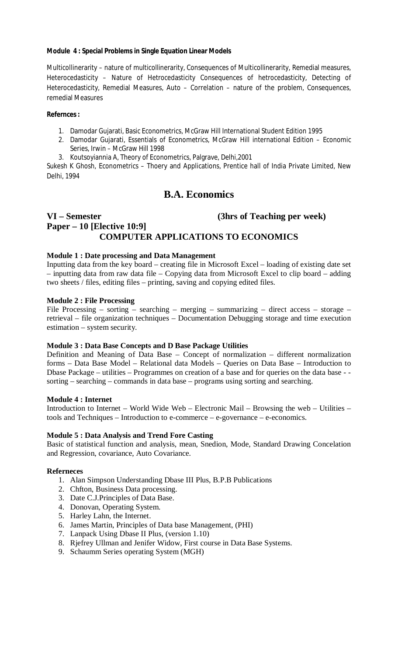# **Module 4 : Special Problems in Single Equation Linear Models**

Multicollinerarity – nature of multicollinerarity, Consequences of Multicollinerarity, Remedial measures, Heterocedasticity – Nature of Hetrocedasticity Consequences of hetrocedasticity, Detecting of Heterocedasticity, Remedial Measures, Auto – Correlation – nature of the problem, Consequences, remedial Measures

### **Refernces :**

- 1. Damodar Gujarati, Basic Econometrics, McGraw Hill International Student Edition 1995
- 2. Damodar Gujarati, Essentials of Econometrics, McGraw Hill international Edition Economic Series, Irwin – McGraw Hill 1998
- 3. Koutsoyiannia A, Theory of Econometrics, Palgrave, Delhi,2001

Sukesh K Ghosh, Econometrics – Thoery and Applications, Prentice hall of India Private Limited, New Delhi, 1994

# **B.A. Economics**

# **VI – Semester (3hrs of Teaching per week) Paper – 10 [Elective 10:9] COMPUTER APPLICATIONS TO ECONOMICS**

# **Module 1 : Date processing and Data Management**

Inputting data from the key board – creating file in Microsoft Excel – loading of existing date set – inputting data from raw data file – Copying data from Microsoft Excel to clip board – adding two sheets / files, editing files – printing, saving and copying edited files.

# **Module 2 : File Processing**

File Processing – sorting – searching – merging – summarizing – direct access – storage – retrieval – file organization techniques – Documentation Debugging storage and time execution estimation – system security.

# **Module 3 : Data Base Concepts and D Base Package Utilities**

Definition and Meaning of Data Base – Concept of normalization – different normalization forms – Data Base Model – Relational data Models – Queries on Data Base – Introduction to Dbase Package – utilities – Programmes on creation of a base and for queries on the data base - sorting – searching – commands in data base – programs using sorting and searching.

#### **Module 4 : Internet**

Introduction to Internet – World Wide Web – Electronic Mail – Browsing the web – Utilities – tools and Techniques – Introduction to e-commerce – e-governance – e-economics.

# **Module 5 : Data Analysis and Trend Fore Casting**

Basic of statistical function and analysis, mean, Snedion, Mode, Standard Drawing Concelation and Regression, covariance, Auto Covariance.

# **Referneces**

- 1. Alan Simpson Understanding Dbase III Plus, B.P.B Publications
- 2. Chfton, Business Data processing.
- 3. Date C.J.Principles of Data Base.
- 4. Donovan, Operating System.
- 5. Harley Lahn, the Internet.
- 6. James Martin, Principles of Data base Management, (PHI)
- 7. Lanpack Using Dbase II Plus, (version 1.10)
- 8. Rjefrey Ullman and Jenifer Widow, First course in Data Base Systems.
- 9. Schaumm Series operating System (MGH)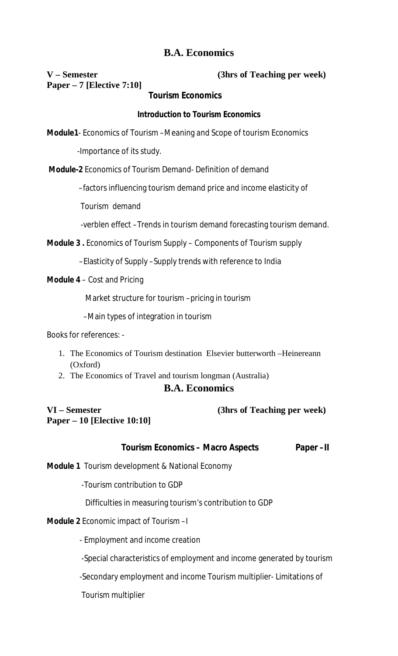# **Paper – 7 [Elective 7:10]**

**V – Semester (3hrs of Teaching per week)**

# **Tourism Economics**

# **Introduction to Tourism Economics**

**Module1**- Economics of Tourism –Meaning and Scope of tourism Economics

-Importance of its study.

**Module-2** Economics of Tourism Demand- Definition of demand

–factors influencing tourism demand price and income elasticity of

Tourism demand

-verblen effect –Trends in tourism demand forecasting tourism demand.

**Module 3 .** Economics of Tourism Supply – Components of Tourism supply

–Elasticity of Supply –Supply trends with reference to India

**Module 4** – Cost and Pricing

Market structure for tourism –pricing in tourism

–Main types of integration in tourism

Books for references: -

- 1. The Economics of Tourism destination Elsevier butterworth –Heinereann (Oxford)
- 2. The Economics of Travel and tourism longman (Australia)

# **B.A. Economics**

**Paper – 10 [Elective 10:10]**

**VI – Semester (3hrs of Teaching per week)**

| <b>Tourism Economics - Macro Aspects</b> | Paper-II |
|------------------------------------------|----------|
|------------------------------------------|----------|

**Module 1** Tourism development & National Economy

-Tourism contribution to GDP

Difficulties in measuring tourism's contribution to GDP

# **Module 2** Economic impact of Tourism –I

- Employment and income creation

-Special characteristics of employment and income generated by tourism

-Secondary employment and income Tourism multiplier- Limitations of

Tourism multiplier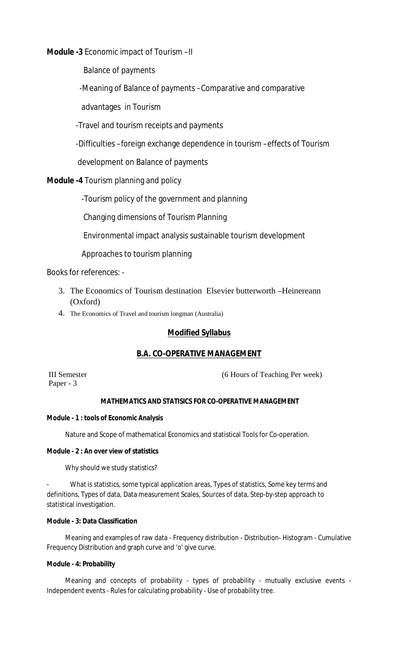**Module -3** Economic impact of Tourism –II

Balance of payments

-Meaning of Balance of payments –Comparative and comparative

advantages in Tourism

-Travel and tourism receipts and payments

-Difficulties –foreign exchange dependence in tourism –effects of Tourism

development on Balance of payments

**Module -4** Tourism planning and policy

-Tourism policy of the government and planning

Changing dimensions of Tourism Planning

Environmental impact analysis sustainable tourism development

Approaches to tourism planning

Books for references: -

- 3. The Economics of Tourism destination Elsevier butterworth –Heinereann (Oxford)
- 4. The Economics of Travel and tourism longman (Australia)

# **Modified Syllabus**

# **B.A. CO-OPERATIVE MANAGEMENT**

Paper - 3

III Semester (6 Hours of Teaching Per week)

# **MATHEMATICS AND STATISICS FOR CO-OPERATIVE MANAGEMENT**

# **Module - 1 : tools of Economic Analysis**

Nature and Scope of mathematical Economics and statistical Tools for Co-operation.

# **Module - 2 : An over view of statistics**

Why should we study statistics?

What is statistics, some typical application areas, Types of statistics, Some key terms and definitions, Types of data, Data measurement Scales, Sources of data, Step-by-step approach to statistical investigation.

# **Module - 3: Data Classification**

Meaning and examples of raw data - Frequency distribution - Distribution- Histogram - Cumulative Frequency Distribution and graph curve and 'o' give curve.

# **Module - 4: Probability**

Meaning and concepts of probability - types of probability - mutually exclusive events - Independent events - Rules for calculating probability - Use of probability tree.